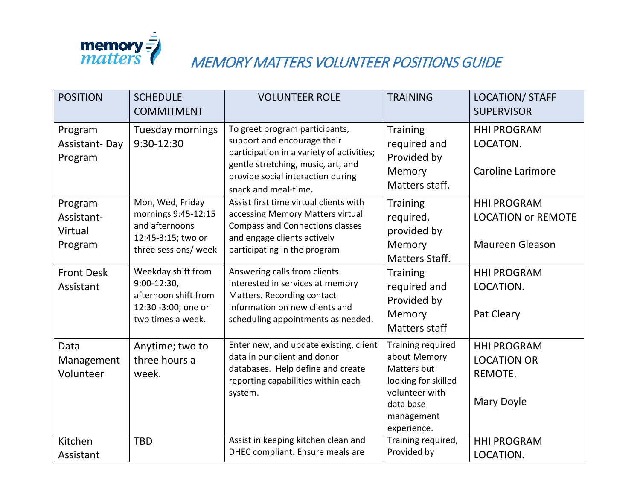

## **Memory =<br>Matters MEMORY MATTERS VOLUNTEER POSITIONS GUIDE**

| <b>POSITION</b>                             | <b>SCHEDULE</b><br><b>COMMITMENT</b>                                                                     | <b>VOLUNTEER ROLE</b>                                                                                                                                                                                         | <b>TRAINING</b>                                                                                                                     | <b>LOCATION/ STAFF</b><br><b>SUPERVISOR</b>                               |
|---------------------------------------------|----------------------------------------------------------------------------------------------------------|---------------------------------------------------------------------------------------------------------------------------------------------------------------------------------------------------------------|-------------------------------------------------------------------------------------------------------------------------------------|---------------------------------------------------------------------------|
| Program<br><b>Assistant-Day</b><br>Program  | <b>Tuesday mornings</b><br>9:30-12:30                                                                    | To greet program participants,<br>support and encourage their<br>participation in a variety of activities;<br>gentle stretching, music, art, and<br>provide social interaction during<br>snack and meal-time. | <b>Training</b><br>required and<br>Provided by<br>Memory<br>Matters staff.                                                          | <b>HHI PROGRAM</b><br>LOCATON.<br><b>Caroline Larimore</b>                |
| Program<br>Assistant-<br>Virtual<br>Program | Mon, Wed, Friday<br>mornings 9:45-12:15<br>and afternoons<br>12:45-3:15; two or<br>three sessions/ week  | Assist first time virtual clients with<br>accessing Memory Matters virtual<br><b>Compass and Connections classes</b><br>and engage clients actively<br>participating in the program                           | <b>Training</b><br>required,<br>provided by<br>Memory<br>Matters Staff.                                                             | <b>HHI PROGRAM</b><br><b>LOCATION or REMOTE</b><br><b>Maureen Gleason</b> |
| <b>Front Desk</b><br>Assistant              | Weekday shift from<br>$9:00-12:30$ ,<br>afternoon shift from<br>12:30 -3:00; one or<br>two times a week. | Answering calls from clients<br>interested in services at memory<br>Matters. Recording contact<br>Information on new clients and<br>scheduling appointments as needed.                                        | <b>Training</b><br>required and<br>Provided by<br>Memory<br><b>Matters staff</b>                                                    | <b>HHI PROGRAM</b><br>LOCATION.<br>Pat Cleary                             |
| Data<br>Management<br>Volunteer             | Anytime; two to<br>three hours a<br>week.                                                                | Enter new, and update existing, client<br>data in our client and donor<br>databases. Help define and create<br>reporting capabilities within each<br>system.                                                  | Training required<br>about Memory<br>Matters but<br>looking for skilled<br>volunteer with<br>data base<br>management<br>experience. | <b>HHI PROGRAM</b><br><b>LOCATION OR</b><br>REMOTE.<br>Mary Doyle         |
| Kitchen<br>Assistant                        | <b>TBD</b>                                                                                               | Assist in keeping kitchen clean and<br>DHEC compliant. Ensure meals are                                                                                                                                       | Training required,<br>Provided by                                                                                                   | <b>HHI PROGRAM</b><br>LOCATION.                                           |